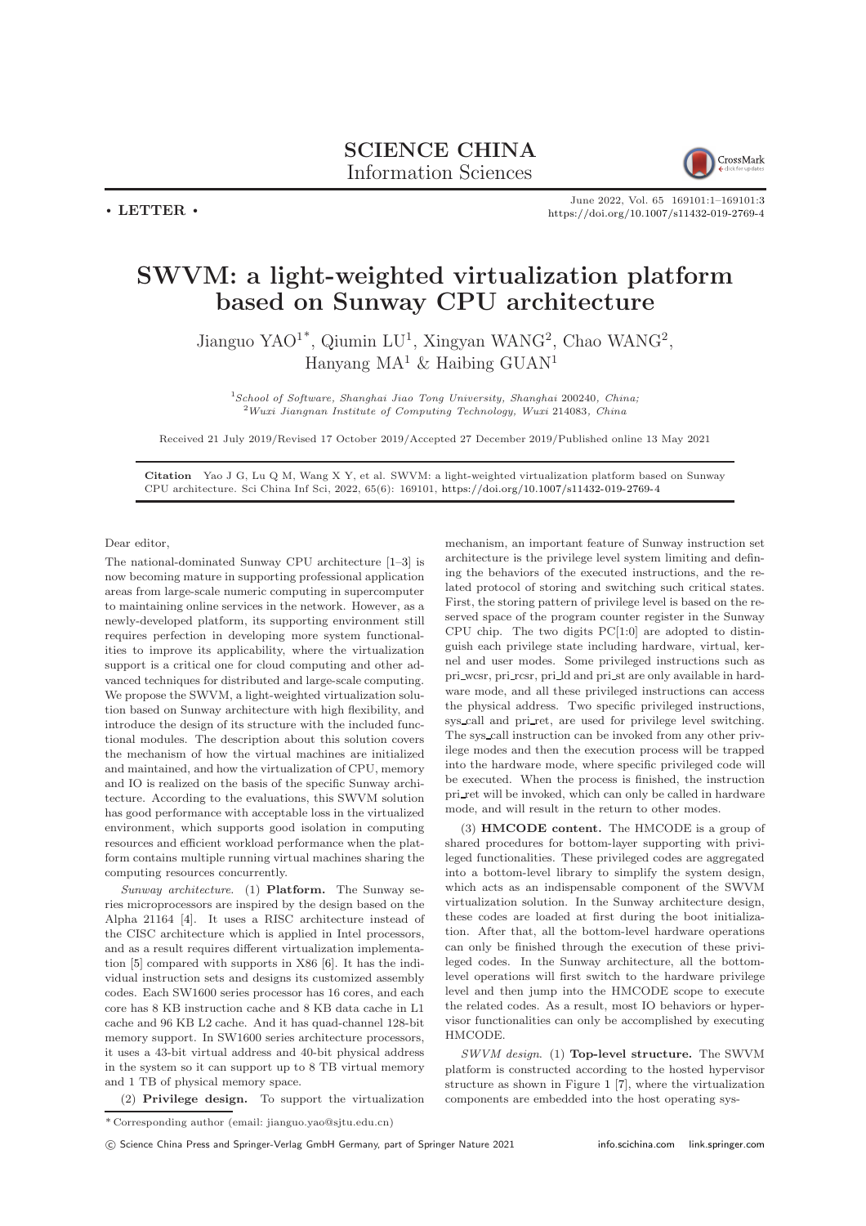

June 2022, Vol. 65 169101:1–169101[:3](#page-2-0) <https://doi.org/10.1007/s11432-019-2769-4>

## SWVM: a light-weighted virtualization platform based on Sunway CPU architecture

Jianguo YAO<sup>1\*</sup>, Qiumin LU<sup>1</sup>, Xingyan WANG<sup>2</sup>, Chao WANG<sup>2</sup>, Hanyang MA<sup>1</sup> & Haibing GUAN<sup>1</sup>

<sup>1</sup>School of Software, Shanghai Jiao Tong University, Shanghai 200240, China;  $2$ Wuxi Jiangnan Institute of Computing Technology, Wuxi 214083, China

Received 21 July 2019/Revised 17 October 2019/Accepted 27 December 2019/Published online 13 May 2021

Citation Yao J G, Lu Q M, Wang X Y, et al. SWVM: a light-weighted virtualization platform based on Sunway CPU architecture. Sci China Inf Sci, 2022, 65(6): 169101, <https://doi.org/10.1007/s11432-019-2769-4>

Dear editor,

 $\cdot$  LETTER  $\cdot$ 

The national-dominated Sunway CPU architecture [\[1](#page-2-1)[–3\]](#page-2-2) is now becoming mature in supporting professional application areas from large-scale numeric computing in supercomputer to maintaining online services in the network. However, as a newly-developed platform, its supporting environment still requires perfection in developing more system functionalities to improve its applicability, where the virtualization support is a critical one for cloud computing and other advanced techniques for distributed and large-scale computing. We propose the SWVM, a light-weighted virtualization solution based on Sunway architecture with high flexibility, and introduce the design of its structure with the included functional modules. The description about this solution covers the mechanism of how the virtual machines are initialized and maintained, and how the virtualization of CPU, memory and IO is realized on the basis of the specific Sunway architecture. According to the evaluations, this SWVM solution has good performance with acceptable loss in the virtualized environment, which supports good isolation in computing resources and efficient workload performance when the platform contains multiple running virtual machines sharing the computing resources concurrently.

Sunway architecture. (1) Platform. The Sunway series microprocessors are inspired by the design based on the Alpha 21164 [\[4\]](#page-2-3). It uses a RISC architecture instead of the CISC architecture which is applied in Intel processors, and as a result requires different virtualization implementation [\[5\]](#page-2-4) compared with supports in X86 [\[6\]](#page-2-5). It has the individual instruction sets and designs its customized assembly codes. Each SW1600 series processor has 16 cores, and each core has 8 KB instruction cache and 8 KB data cache in L1 cache and 96 KB L2 cache. And it has quad-channel 128-bit memory support. In SW1600 series architecture processors, it uses a 43-bit virtual address and 40-bit physical address in the system so it can support up to 8 TB virtual memory and 1 TB of physical memory space.

mechanism, an important feature of Sunway instruction set architecture is the privilege level system limiting and defining the behaviors of the executed instructions, and the related protocol of storing and switching such critical states. First, the storing pattern of privilege level is based on the reserved space of the program counter register in the Sunway CPU chip. The two digits PC[1:0] are adopted to distinguish each privilege state including hardware, virtual, kernel and user modes. Some privileged instructions such as pri\_wcsr, pri\_rcsr, pri\_ld and pri\_st are only available in hardware mode, and all these privileged instructions can access the physical address. Two specific privileged instructions, sys call and pri ret, are used for privilege level switching. The sys call instruction can be invoked from any other privilege modes and then the execution process will be trapped into the hardware mode, where specific privileged code will be executed. When the process is finished, the instruction pri\_ret will be invoked, which can only be called in hardware mode, and will result in the return to other modes.

(3) HMCODE content. The HMCODE is a group of shared procedures for bottom-layer supporting with privileged functionalities. These privileged codes are aggregated into a bottom-level library to simplify the system design, which acts as an indispensable component of the SWVM virtualization solution. In the Sunway architecture design, these codes are loaded at first during the boot initialization. After that, all the bottom-level hardware operations can only be finished through the execution of these privileged codes. In the Sunway architecture, all the bottomlevel operations will first switch to the hardware privilege level and then jump into the HMCODE scope to execute the related codes. As a result, most IO behaviors or hypervisor functionalities can only be accomplished by executing HMCODE.

SWVM design. (1) Top-level structure. The SWVM platform is constructed according to the hosted hypervisor structure as shown in Figure [1](#page-1-0) [\[7\]](#page-2-6), where the virtualization components are embedded into the host operating sys-

(2) Privilege design. To support the virtualization

<sup>\*</sup> Corresponding author (email: jianguo.yao@sjtu.edu.cn)

c Science China Press and Springer-Verlag GmbH Germany, part of Springer Nature 2021 <info.scichina.com><link.springer.com>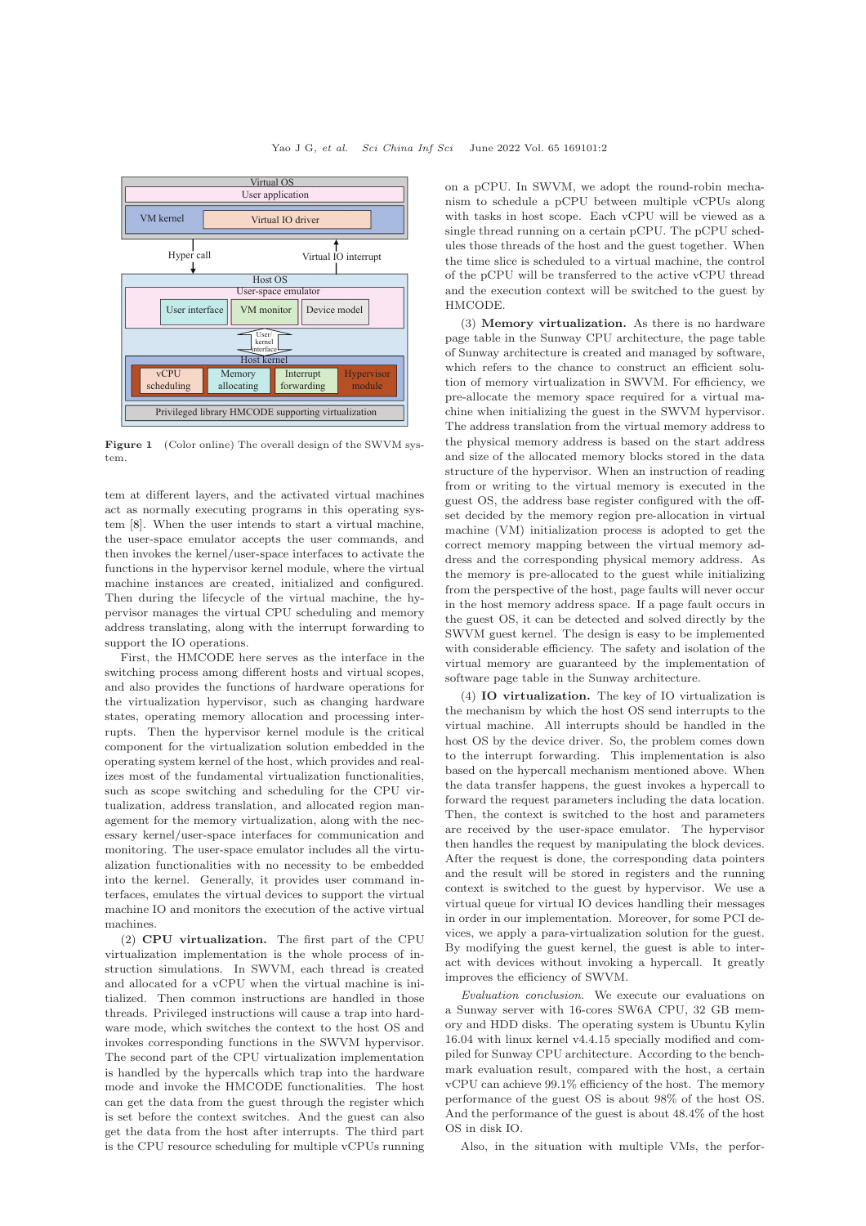<span id="page-1-0"></span>

Figure 1 (Color online) The overall design of the SWVM system.

tem at different layers, and the activated virtual machines act as normally executing programs in this operating system [\[8\]](#page-2-7). When the user intends to start a virtual machine, the user-space emulator accepts the user commands, and then invokes the kernel/user-space interfaces to activate the functions in the hypervisor kernel module, where the virtual machine instances are created, initialized and configured. Then during the lifecycle of the virtual machine, the hypervisor manages the virtual CPU scheduling and memory address translating, along with the interrupt forwarding to support the IO operations.

First, the HMCODE here serves as the interface in the switching process among different hosts and virtual scopes, and also provides the functions of hardware operations for the virtualization hypervisor, such as changing hardware states, operating memory allocation and processing interrupts. Then the hypervisor kernel module is the critical component for the virtualization solution embedded in the operating system kernel of the host, which provides and realizes most of the fundamental virtualization functionalities, such as scope switching and scheduling for the CPU virtualization, address translation, and allocated region management for the memory virtualization, along with the necessary kernel/user-space interfaces for communication and monitoring. The user-space emulator includes all the virtualization functionalities with no necessity to be embedded into the kernel. Generally, it provides user command interfaces, emulates the virtual devices to support the virtual machine IO and monitors the execution of the active virtual machines.

(2) CPU virtualization. The first part of the CPU virtualization implementation is the whole process of instruction simulations. In SWVM, each thread is created and allocated for a vCPU when the virtual machine is initialized. Then common instructions are handled in those threads. Privileged instructions will cause a trap into hardware mode, which switches the context to the host OS and invokes corresponding functions in the SWVM hypervisor. The second part of the CPU virtualization implementation is handled by the hypercalls which trap into the hardware mode and invoke the HMCODE functionalities. The host can get the data from the guest through the register which is set before the context switches. And the guest can also get the data from the host after interrupts. The third part is the CPU resource scheduling for multiple vCPUs running

on a pCPU. In SWVM, we adopt the round-robin mechanism to schedule a pCPU between multiple vCPUs along with tasks in host scope. Each vCPU will be viewed as a single thread running on a certain pCPU. The pCPU schedules those threads of the host and the guest together. When the time slice is scheduled to a virtual machine, the control of the pCPU will be transferred to the active vCPU thread and the execution context will be switched to the guest by HMCODE.

(3) Memory virtualization. As there is no hardware page table in the Sunway CPU architecture, the page table of Sunway architecture is created and managed by software, which refers to the chance to construct an efficient solution of memory virtualization in SWVM. For efficiency, we pre-allocate the memory space required for a virtual machine when initializing the guest in the SWVM hypervisor. The address translation from the virtual memory address to the physical memory address is based on the start address and size of the allocated memory blocks stored in the data structure of the hypervisor. When an instruction of reading from or writing to the virtual memory is executed in the guest OS, the address base register configured with the offset decided by the memory region pre-allocation in virtual machine (VM) initialization process is adopted to get the correct memory mapping between the virtual memory address and the corresponding physical memory address. As the memory is pre-allocated to the guest while initializing from the perspective of the host, page faults will never occur in the host memory address space. If a page fault occurs in the guest OS, it can be detected and solved directly by the SWVM guest kernel. The design is easy to be implemented with considerable efficiency. The safety and isolation of the virtual memory are guaranteed by the implementation of software page table in the Sunway architecture.

(4) IO virtualization. The key of IO virtualization is the mechanism by which the host OS send interrupts to the virtual machine. All interrupts should be handled in the host OS by the device driver. So, the problem comes down to the interrupt forwarding. This implementation is also based on the hypercall mechanism mentioned above. When the data transfer happens, the guest invokes a hypercall to forward the request parameters including the data location. Then, the context is switched to the host and parameters are received by the user-space emulator. The hypervisor then handles the request by manipulating the block devices. After the request is done, the corresponding data pointers and the result will be stored in registers and the running context is switched to the guest by hypervisor. We use a virtual queue for virtual IO devices handling their messages in order in our implementation. Moreover, for some PCI devices, we apply a para-virtualization solution for the guest. By modifying the guest kernel, the guest is able to interact with devices without invoking a hypercall. It greatly improves the efficiency of SWVM.

Evaluation conclusion. We execute our evaluations on a Sunway server with 16-cores SW6A CPU, 32 GB memory and HDD disks. The operating system is Ubuntu Kylin 16.04 with linux kernel v4.4.15 specially modified and compiled for Sunway CPU architecture. According to the benchmark evaluation result, compared with the host, a certain vCPU can achieve 99.1% efficiency of the host. The memory performance of the guest OS is about 98% of the host OS. And the performance of the guest is about 48.4% of the host OS in disk IO.

Also, in the situation with multiple VMs, the perfor-